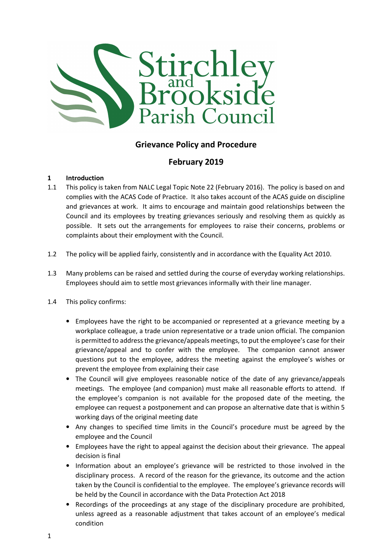

# Grievance Policy and Procedure

## February 2019

## 1 Introduction

- 1.1 This policy is taken from NALC Legal Topic Note 22 (February 2016). The policy is based on and complies with the ACAS Code of Practice. It also takes account of the ACAS guide on discipline and grievances at work. It aims to encourage and maintain good relationships between the Council and its employees by treating grievances seriously and resolving them as quickly as possible. It sets out the arrangements for employees to raise their concerns, problems or complaints about their employment with the Council.
- 1.2 The policy will be applied fairly, consistently and in accordance with the Equality Act 2010.
- 1.3 Many problems can be raised and settled during the course of everyday working relationships. Employees should aim to settle most grievances informally with their line manager.
- 1.4 This policy confirms:
	- Employees have the right to be accompanied or represented at a grievance meeting by a workplace colleague, a trade union representative or a trade union official. The companion is permitted to address the grievance/appeals meetings, to put the employee's case for their grievance/appeal and to confer with the employee. The companion cannot answer questions put to the employee, address the meeting against the employee's wishes or prevent the employee from explaining their case
	- The Council will give employees reasonable notice of the date of any grievance/appeals meetings. The employee (and companion) must make all reasonable efforts to attend. If the employee's companion is not available for the proposed date of the meeting, the employee can request a postponement and can propose an alternative date that is within 5 working days of the original meeting date
	- Any changes to specified time limits in the Council's procedure must be agreed by the employee and the Council
	- Employees have the right to appeal against the decision about their grievance. The appeal decision is final
	- Information about an employee's grievance will be restricted to those involved in the disciplinary process. A record of the reason for the grievance, its outcome and the action taken by the Council is confidential to the employee. The employee's grievance records will be held by the Council in accordance with the Data Protection Act 2018
	- Recordings of the proceedings at any stage of the disciplinary procedure are prohibited, unless agreed as a reasonable adjustment that takes account of an employee's medical condition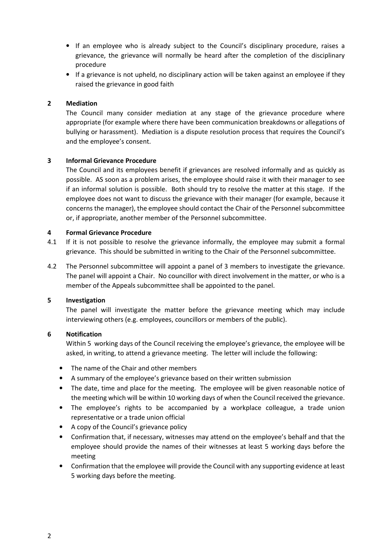- If an employee who is already subject to the Council's disciplinary procedure, raises a grievance, the grievance will normally be heard after the completion of the disciplinary procedure
- If a grievance is not upheld, no disciplinary action will be taken against an employee if they raised the grievance in good faith

## 2 Mediation

The Council many consider mediation at any stage of the grievance procedure where appropriate (for example where there have been communication breakdowns or allegations of bullying or harassment). Mediation is a dispute resolution process that requires the Council's and the employee's consent.

#### 3 Informal Grievance Procedure

The Council and its employees benefit if grievances are resolved informally and as quickly as possible. AS soon as a problem arises, the employee should raise it with their manager to see if an informal solution is possible. Both should try to resolve the matter at this stage. If the employee does not want to discuss the grievance with their manager (for example, because it concerns the manager), the employee should contact the Chair of the Personnel subcommittee or, if appropriate, another member of the Personnel subcommittee.

#### 4 Formal Grievance Procedure

- 4.1 If it is not possible to resolve the grievance informally, the employee may submit a formal grievance. This should be submitted in writing to the Chair of the Personnel subcommittee.
- 4.2 The Personnel subcommittee will appoint a panel of 3 members to investigate the grievance. The panel will appoint a Chair. No councillor with direct involvement in the matter, or who is a member of the Appeals subcommittee shall be appointed to the panel.

#### 5 Investigation

The panel will investigate the matter before the grievance meeting which may include interviewing others (e.g. employees, councillors or members of the public).

#### 6 Notification

Within 5 working days of the Council receiving the employee's grievance, the employee will be asked, in writing, to attend a grievance meeting. The letter will include the following:

- The name of the Chair and other members
- A summary of the employee's grievance based on their written submission
- The date, time and place for the meeting. The employee will be given reasonable notice of the meeting which will be within 10 working days of when the Council received the grievance.
- The employee's rights to be accompanied by a workplace colleague, a trade union representative or a trade union official
- A copy of the Council's grievance policy
- Confirmation that, if necessary, witnesses may attend on the employee's behalf and that the employee should provide the names of their witnesses at least 5 working days before the meeting
- Confirmation that the employee will provide the Council with any supporting evidence at least 5 working days before the meeting.